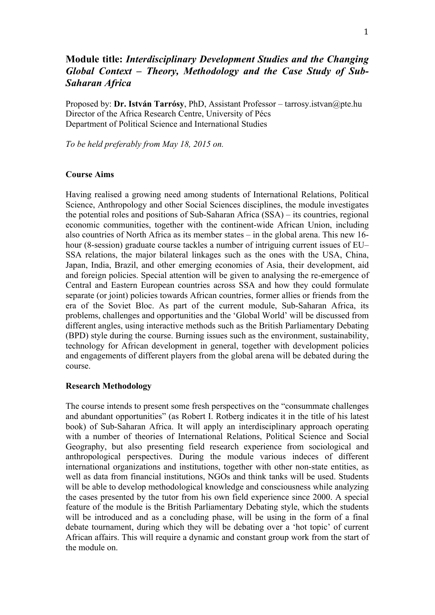# **Module title:** *Interdisciplinary Development Studies and the Changing Global Context – Theory, Methodology and the Case Study of Sub-Saharan Africa*

Proposed by: **Dr. István Tarrósy**, PhD, Assistant Professor – tarrosy.istvan@pte.hu Director of the Africa Research Centre, University of Pécs Department of Political Science and International Studies

*To be held preferably from May 18, 2015 on.*

### **Course Aims**

Having realised a growing need among students of International Relations, Political Science, Anthropology and other Social Sciences disciplines, the module investigates the potential roles and positions of Sub-Saharan Africa (SSA) – its countries, regional economic communities, together with the continent-wide African Union, including also countries of North Africa as its member states – in the global arena. This new 16 hour (8-session) graduate course tackles a number of intriguing current issues of EU– SSA relations, the major bilateral linkages such as the ones with the USA, China, Japan, India, Brazil, and other emerging economies of Asia, their development, aid and foreign policies. Special attention will be given to analysing the re-emergence of Central and Eastern European countries across SSA and how they could formulate separate (or joint) policies towards African countries, former allies or friends from the era of the Soviet Bloc. As part of the current module, Sub-Saharan Africa, its problems, challenges and opportunities and the 'Global World' will be discussed from different angles, using interactive methods such as the British Parliamentary Debating (BPD) style during the course. Burning issues such as the environment, sustainability, technology for African development in general, together with development policies and engagements of different players from the global arena will be debated during the course.

#### **Research Methodology**

The course intends to present some fresh perspectives on the "consummate challenges and abundant opportunities" (as Robert I. Rotberg indicates it in the title of his latest book) of Sub-Saharan Africa. It will apply an interdisciplinary approach operating with a number of theories of International Relations, Political Science and Social Geography, but also presenting field research experience from sociological and anthropological perspectives. During the module various indeces of different international organizations and institutions, together with other non-state entities, as well as data from financial institutions, NGOs and think tanks will be used. Students will be able to develop methodological knowledge and consciousness while analyzing the cases presented by the tutor from his own field experience since 2000. A special feature of the module is the British Parliamentary Debating style, which the students will be introduced and as a concluding phase, will be using in the form of a final debate tournament, during which they will be debating over a 'hot topic' of current African affairs. This will require a dynamic and constant group work from the start of the module on.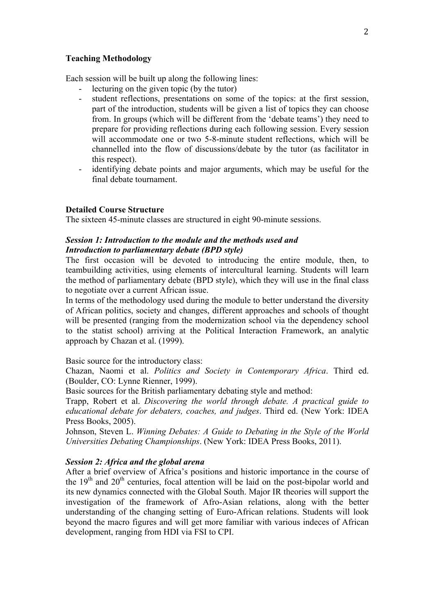### **Teaching Methodology**

Each session will be built up along the following lines:

- lecturing on the given topic (by the tutor)
- student reflections, presentations on some of the topics: at the first session, part of the introduction, students will be given a list of topics they can choose from. In groups (which will be different from the 'debate teams') they need to prepare for providing reflections during each following session. Every session will accommodate one or two 5-8-minute student reflections, which will be channelled into the flow of discussions/debate by the tutor (as facilitator in this respect).
- identifying debate points and major arguments, which may be useful for the final debate tournament.

#### **Detailed Course Structure**

The sixteen 45-minute classes are structured in eight 90-minute sessions.

### *Session 1: Introduction to the module and the methods used and Introduction to parliamentary debate (BPD style)*

The first occasion will be devoted to introducing the entire module, then, to teambuilding activities, using elements of intercultural learning. Students will learn the method of parliamentary debate (BPD style), which they will use in the final class to negotiate over a current African issue.

In terms of the methodology used during the module to better understand the diversity of African politics, society and changes, different approaches and schools of thought will be presented (ranging from the modernization school via the dependency school to the statist school) arriving at the Political Interaction Framework, an analytic approach by Chazan et al. (1999).

Basic source for the introductory class:

Chazan, Naomi et al. *Politics and Society in Contemporary Africa*. Third ed. (Boulder, CO: Lynne Rienner, 1999).

Basic sources for the British parliamentary debating style and method:

Trapp, Robert et al. *Discovering the world through debate. A practical guide to educational debate for debaters, coaches, and judges*. Third ed. (New York: IDEA Press Books, 2005).

Johnson, Steven L. *Winning Debates: A Guide to Debating in the Style of the World Universities Debating Championships*. (New York: IDEA Press Books, 2011).

### *Session 2: Africa and the global arena*

After a brief overview of Africa's positions and historic importance in the course of the  $19<sup>th</sup>$  and  $20<sup>th</sup>$  centuries, focal attention will be laid on the post-bipolar world and its new dynamics connected with the Global South. Major IR theories will support the investigation of the framework of Afro-Asian relations, along with the better understanding of the changing setting of Euro-African relations. Students will look beyond the macro figures and will get more familiar with various indeces of African development, ranging from HDI via FSI to CPI.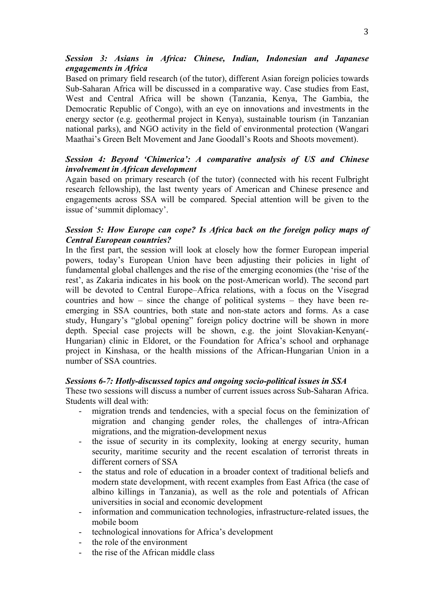### *Session 3: Asians in Africa: Chinese, Indian, Indonesian and Japanese engagements in Africa*

Based on primary field research (of the tutor), different Asian foreign policies towards Sub-Saharan Africa will be discussed in a comparative way. Case studies from East, West and Central Africa will be shown (Tanzania, Kenya, The Gambia, the Democratic Republic of Congo), with an eye on innovations and investments in the energy sector (e.g. geothermal project in Kenya), sustainable tourism (in Tanzanian national parks), and NGO activity in the field of environmental protection (Wangari Maathai's Green Belt Movement and Jane Goodall's Roots and Shoots movement).

## *Session 4: Beyond 'Chimerica': A comparative analysis of US and Chinese involvement in African development*

Again based on primary research (of the tutor) (connected with his recent Fulbright research fellowship), the last twenty years of American and Chinese presence and engagements across SSA will be compared. Special attention will be given to the issue of 'summit diplomacy'.

### *Session 5: How Europe can cope? Is Africa back on the foreign policy maps of Central European countries?*

In the first part, the session will look at closely how the former European imperial powers, today's European Union have been adjusting their policies in light of fundamental global challenges and the rise of the emerging economies (the 'rise of the rest', as Zakaria indicates in his book on the post-American world). The second part will be devoted to Central Europe–Africa relations, with a focus on the Visegrad countries and how – since the change of political systems – they have been reemerging in SSA countries, both state and non-state actors and forms. As a case study, Hungary's "global opening" foreign policy doctrine will be shown in more depth. Special case projects will be shown, e.g. the joint Slovakian-Kenyan(- Hungarian) clinic in Eldoret, or the Foundation for Africa's school and orphanage project in Kinshasa, or the health missions of the African-Hungarian Union in a number of SSA countries.

### *Sessions 6-7: Hotly-discussed topics and ongoing socio-political issues in SSA*

These two sessions will discuss a number of current issues across Sub-Saharan Africa. Students will deal with:

- migration trends and tendencies, with a special focus on the feminization of migration and changing gender roles, the challenges of intra-African migrations, and the migration-development nexus
- the issue of security in its complexity, looking at energy security, human security, maritime security and the recent escalation of terrorist threats in different corners of SSA
- the status and role of education in a broader context of traditional beliefs and modern state development, with recent examples from East Africa (the case of albino killings in Tanzania), as well as the role and potentials of African universities in social and economic development
- information and communication technologies, infrastructure-related issues, the mobile boom
- technological innovations for Africa's development
- the role of the environment
- the rise of the African middle class